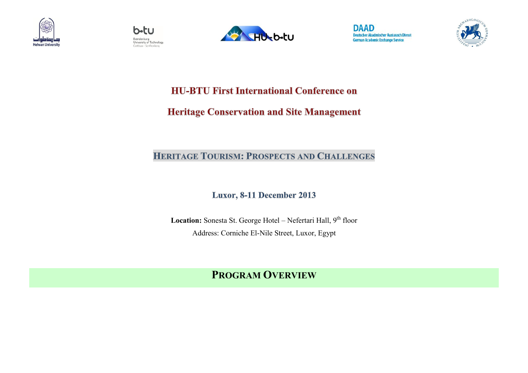









**HU-BTU First International Conference on** 

**Heritage Conservation and Site Management** 

## **HERITAGE TOURISM: PROSPECTS AND CHALLENGES**

Luxor, 8-11 December 2013

Location: Sonesta St. George Hotel - Nefertari Hall, 9<sup>th</sup> floor Address: Corniche El-Nile Street, Luxor, Egypt

## **PROGRAM OVERVIEW**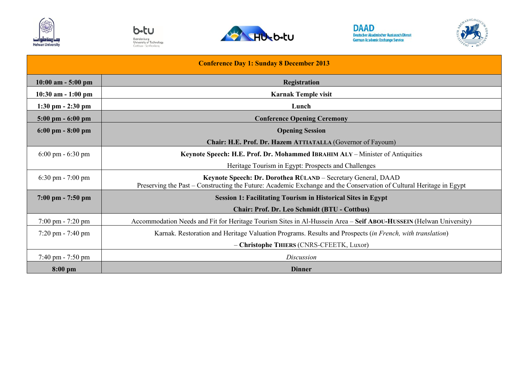









| <b>Conference Day 1: Sunday 8 December 2013</b> |                                                                                                                                                                                      |
|-------------------------------------------------|--------------------------------------------------------------------------------------------------------------------------------------------------------------------------------------|
| $10:00$ am $-5:00$ pm                           | <b>Registration</b>                                                                                                                                                                  |
| $10:30$ am $-1:00$ pm                           | <b>Karnak Temple visit</b>                                                                                                                                                           |
| $1:30 \text{ pm} - 2:30 \text{ pm}$             | Lunch                                                                                                                                                                                |
| $5:00 \text{ pm} - 6:00 \text{ pm}$             | <b>Conference Opening Ceremony</b>                                                                                                                                                   |
| $6:00 \text{ pm} - 8:00 \text{ pm}$             | <b>Opening Session</b>                                                                                                                                                               |
|                                                 | Chair: H.E. Prof. Dr. Hazem ATTIATALLA (Governor of Fayoum)                                                                                                                          |
| $6:00 \text{ pm} - 6:30 \text{ pm}$             | Keynote Speech: H.E. Prof. Dr. Mohammed IBRAHIM ALY – Minister of Antiquities                                                                                                        |
|                                                 | Heritage Tourism in Egypt: Prospects and Challenges                                                                                                                                  |
| $6:30 \text{ pm} - 7:00 \text{ pm}$             | Keynote Speech: Dr. Dorothea RÜLAND - Secretary General, DAAD<br>Preserving the Past – Constructing the Future: Academic Exchange and the Conservation of Cultural Heritage in Egypt |
| $7:00 \text{ pm} - 7:50 \text{ pm}$             | <b>Session 1: Facilitating Tourism in Historical Sites in Egypt</b>                                                                                                                  |
|                                                 | <b>Chair: Prof. Dr. Leo Schmidt (BTU - Cottbus)</b>                                                                                                                                  |
| $7:00 \text{ pm} - 7:20 \text{ pm}$             | Accommodation Needs and Fit for Heritage Tourism Sites in Al-Hussein Area - Seif ABOU-HUSSEIN (Helwan University)                                                                    |
| $7:20 \text{ pm} - 7:40 \text{ pm}$             | Karnak. Restoration and Heritage Valuation Programs. Results and Prospects (in French, with translation)                                                                             |
|                                                 | - Christophe THIERS (CNRS-CFEETK, Luxor)                                                                                                                                             |
| $7:40 \text{ pm} - 7:50 \text{ pm}$             | <i>Discussion</i>                                                                                                                                                                    |
| $8:00$ pm                                       | <b>Dinner</b>                                                                                                                                                                        |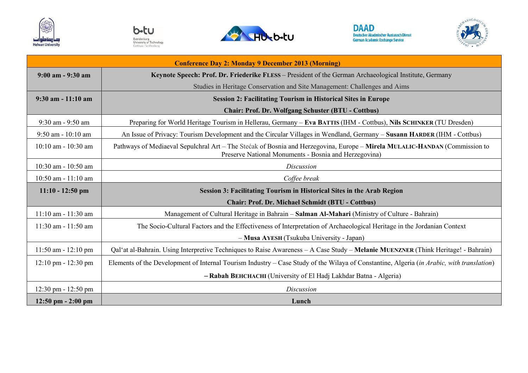









| <b>Conference Day 2: Monday 9 December 2013 (Morning)</b> |                                                                                                                                                                                     |
|-----------------------------------------------------------|-------------------------------------------------------------------------------------------------------------------------------------------------------------------------------------|
| $9:00$ am $-9:30$ am                                      | Keynote Speech: Prof. Dr. Friederike FLESS - President of the German Archaeological Institute, Germany                                                                              |
|                                                           | Studies in Heritage Conservation and Site Management: Challenges and Aims                                                                                                           |
| $9:30$ am $-11:10$ am                                     | <b>Session 2: Facilitating Tourism in Historical Sites in Europe</b>                                                                                                                |
|                                                           | <b>Chair: Prof. Dr. Wolfgang Schuster (BTU - Cottbus)</b>                                                                                                                           |
| 9:30 am - 9:50 am                                         | Preparing for World Heritage Tourism in Hellerau, Germany - Eva BATTIS (IHM - Cottbus), Nils SCHINKER (TU Dresden)                                                                  |
| $9:50$ am - $10:10$ am                                    | An Issue of Privacy: Tourism Development and the Circular Villages in Wendland, Germany - Susann HARDER (IHM - Cottbus)                                                             |
| 10:10 am - 10:30 am                                       | Pathways of Mediaeval Sepulchral Art - The Stećak of Bosnia and Herzegovina, Europe - Mirela MULALIC-HANDAN (Commission to<br>Preserve National Monuments - Bosnia and Herzegovina) |
| 10:30 am - 10:50 am                                       | Discussion                                                                                                                                                                          |
| 10:50 am - 11:10 am                                       | Coffee break                                                                                                                                                                        |
| $11:10 - 12:50$ pm                                        | Session 3: Facilitating Tourism in Historical Sites in the Arab Region                                                                                                              |
|                                                           | <b>Chair: Prof. Dr. Michael Schmidt (BTU - Cottbus)</b>                                                                                                                             |
|                                                           |                                                                                                                                                                                     |
| $11:10$ am $-11:30$ am                                    | Management of Cultural Heritage in Bahrain - Salman Al-Mahari (Ministry of Culture - Bahrain)                                                                                       |
| $11:30$ am - $11:50$ am                                   | The Socio-Cultural Factors and the Effectiveness of Interpretation of Archaeological Heritage in the Jordanian Context                                                              |
|                                                           | - Musa AYESH (Tsukuba University - Japan)                                                                                                                                           |
| $11:50$ am - $12:10$ pm                                   | Qal'at al-Bahrain. Using Interpretive Techniques to Raise Awareness - A Case Study - Melanie MUENZNER (Think Heritage! - Bahrain)                                                   |
| $12:10 \text{ pm} - 12:30 \text{ pm}$                     | Elements of the Development of Internal Tourism Industry – Case Study of the Wilaya of Constantine, Algeria (in Arabic, with translation)                                           |
|                                                           | - Rabah BEHCHACHI (University of El Hadj Lakhdar Batna - Algeria)                                                                                                                   |
| $12:30 \text{ pm} - 12:50 \text{ pm}$                     | <b>Discussion</b>                                                                                                                                                                   |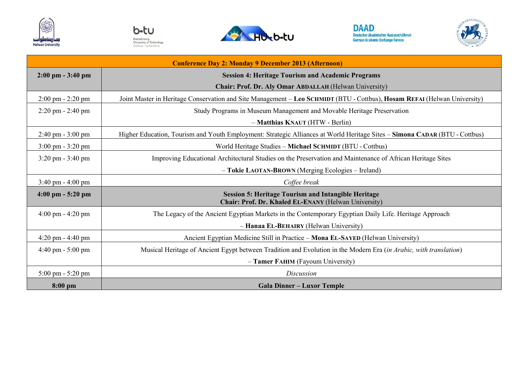









| <b>Conference Day 2: Monday 9 December 2013 (Afternoon)</b> |                                                                                                                            |
|-------------------------------------------------------------|----------------------------------------------------------------------------------------------------------------------------|
| $2:00 \text{ pm} - 3:40 \text{ pm}$                         | <b>Session 4: Heritage Tourism and Academic Programs</b>                                                                   |
|                                                             | Chair: Prof. Dr. Aly Omar ABDALLAH (Helwan University)                                                                     |
| $2:00 \text{ pm} - 2:20 \text{ pm}$                         | Joint Master in Heritage Conservation and Site Management - Leo SCHMIDT (BTU - Cottbus), Hosam REFAI (Helwan University)   |
| $2:20 \text{ pm} - 2:40 \text{ pm}$                         | Study Programs in Museum Management and Movable Heritage Preservation                                                      |
|                                                             | - Matthias KNAUT (HTW - Berlin)                                                                                            |
| $2:40 \text{ pm} - 3:00 \text{ pm}$                         | Higher Education, Tourism and Youth Employment: Strategic Alliances at World Heritage Sites - Simona CADAR (BTU - Cottbus) |
| $3:00 \text{ pm} - 3:20 \text{ pm}$                         | World Heritage Studies - Michael SCHMIDT (BTU - Cottbus)                                                                   |
| $3:20 \text{ pm} - 3:40 \text{ pm}$                         | Improving Educational Architectural Studies on the Preservation and Maintenance of African Heritage Sites                  |
|                                                             | - Tokie LAOTAN-BROWN (Merging Ecologies - Ireland)                                                                         |
| $3:40 \text{ pm} - 4:00 \text{ pm}$                         | Coffee break                                                                                                               |
| $4:00 \text{ pm} - 5:20 \text{ pm}$                         | <b>Session 5: Heritage Tourism and Intangible Heritage</b><br>Chair: Prof. Dr. Khaled EL-ENANY (Helwan University)         |
| $4:00 \text{ pm} - 4:20 \text{ pm}$                         | The Legacy of the Ancient Egyptian Markets in the Contemporary Egyptian Daily Life. Heritage Approach                      |
|                                                             | - Hanaa EL-BEHAIRY (Helwan University)                                                                                     |
| $4:20 \text{ pm} - 4:40 \text{ pm}$                         | Ancient Egyptian Medicine Still in Practice - Mona EL-SAYED (Helwan University)                                            |
| 4:40 pm - 5:00 pm                                           | Musical Heritage of Ancient Egypt between Tradition and Evolution in the Modern Era (in Arabic, with translation)          |
|                                                             | - Tamer FAHIM (Fayoum University)                                                                                          |
| $5:00 \text{ pm} - 5:20 \text{ pm}$                         | Discussion                                                                                                                 |
| 8:00 pm                                                     | <b>Gala Dinner – Luxor Temple</b>                                                                                          |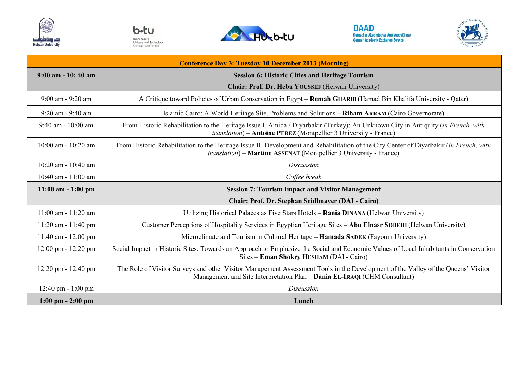









| <b>Conference Day 3: Tuesday 10 December 2013 (Morning)</b> |                                                                                                                                                                                                                       |
|-------------------------------------------------------------|-----------------------------------------------------------------------------------------------------------------------------------------------------------------------------------------------------------------------|
| $9:00$ am $-10:40$ am                                       | <b>Session 6: Historic Cities and Heritage Tourism</b>                                                                                                                                                                |
|                                                             | Chair: Prof. Dr. Heba YOUSSEF (Helwan University)                                                                                                                                                                     |
| $9:00$ am - $9:20$ am                                       | A Critique toward Policies of Urban Conservation in Egypt - Remah GHARIB (Hamad Bin Khalifa University - Qatar)                                                                                                       |
| 9:20 am - 9:40 am                                           | Islamic Cairo: A World Heritage Site. Problems and Solutions - Riham ARRAM (Cairo Governorate)                                                                                                                        |
| $9:40$ am - 10:00 am                                        | From Historic Rehabilitation to the Heritage Issue I. Amida / Diyarbakir (Turkey): An Unknown City in Antiquity (in French, with<br>translation) - Antoine PEREZ (Montpellier 3 University - France)                  |
| $10:00$ am - $10:20$ am                                     | From Historic Rehabilitation to the Heritage Issue II. Development and Rehabilitation of the City Center of Diyarbakir (in French, with<br><i>translation</i> ) – Martine ASSENAT (Montpellier 3 University - France) |
| $10:20$ am - $10:40$ am                                     | Discussion                                                                                                                                                                                                            |
| 10:40 am - $11:00$ am                                       | Coffee break                                                                                                                                                                                                          |
|                                                             |                                                                                                                                                                                                                       |
| $11:00$ am $-1:00$ pm                                       | <b>Session 7: Tourism Impact and Visitor Management</b>                                                                                                                                                               |
|                                                             | <b>Chair: Prof. Dr. Stephan Seidlmayer (DAI - Cairo)</b>                                                                                                                                                              |
| $11:00$ am - $11:20$ am                                     | Utilizing Historical Palaces as Five Stars Hotels - Rania DINANA (Helwan University)                                                                                                                                  |
| $11:20$ am - $11:40$ pm                                     | Customer Perceptions of Hospitality Services in Egyptian Heritage Sites – Abu Elnasr SOBEIH (Helwan University)                                                                                                       |
| $11:40$ am - $12:00$ pm                                     | Microclimate and Tourism in Cultural Heritage – <b>Hamada SADEK</b> (Fayoum University)                                                                                                                               |
| 12:00 pm - 12:20 pm                                         | Social Impact in Historic Sites: Towards an Approach to Emphasize the Social and Economic Values of Local Inhabitants in Conservation<br>Sites – Eman Shokry HESHAM (DAI - Cairo)                                     |
| $12:20 \text{ pm} - 12:40 \text{ pm}$                       | The Role of Visitor Surveys and other Visitor Management Assessment Tools in the Development of the Valley of the Queens' Visitor<br>Management and Site Interpretation Plan - Dania EL-IRAQI (CHM Consultant)        |
| $12:40 \text{ pm} - 1:00 \text{ pm}$                        | <b>Discussion</b>                                                                                                                                                                                                     |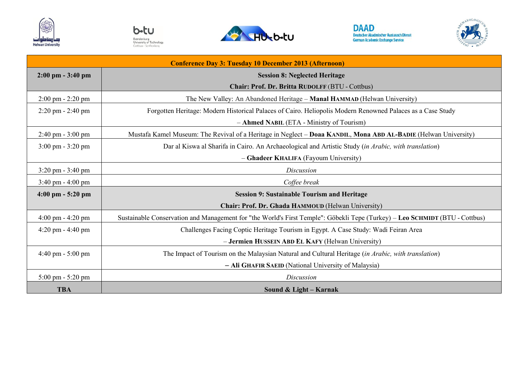









| <b>Conference Day 3: Tuesday 10 December 2013 (Afternoon)</b> |                                                                                                                             |
|---------------------------------------------------------------|-----------------------------------------------------------------------------------------------------------------------------|
| $2:00 \text{ pm} - 3:40 \text{ pm}$                           | <b>Session 8: Neglected Heritage</b>                                                                                        |
|                                                               | Chair: Prof. Dr. Britta RUDOLFF (BTU - Cottbus)                                                                             |
| $2:00 \text{ pm} - 2:20 \text{ pm}$                           | The New Valley: An Abandoned Heritage – Manal HAMMAD (Helwan University)                                                    |
| $2:20 \text{ pm} - 2:40 \text{ pm}$                           | Forgotten Heritage: Modern Historical Palaces of Cairo. Heliopolis Modern Renowned Palaces as a Case Study                  |
|                                                               | - Ahmed NABIL (ETA - Ministry of Tourism)                                                                                   |
| $2:40 \text{ pm} - 3:00 \text{ pm}$                           | Mustafa Kamel Museum: The Revival of a Heritage in Neglect - Doaa KANDIL, Mona ABD AL-BADIE (Helwan University)             |
| $3:00 \text{ pm} - 3:20 \text{ pm}$                           | Dar al Kiswa al Sharifa in Cairo. An Archaeological and Artistic Study (in Arabic, with translation)                        |
|                                                               | - Ghadeer KHALIFA (Fayoum University)                                                                                       |
| $3:20 \text{ pm} - 3:40 \text{ pm}$                           | Discussion                                                                                                                  |
| $3:40 \text{ pm} - 4:00 \text{ pm}$                           | Coffee break                                                                                                                |
| $4:00 \text{ pm} - 5:20 \text{ pm}$                           | <b>Session 9: Sustainable Tourism and Heritage</b>                                                                          |
|                                                               | Chair: Prof. Dr. Ghada HAMMOUD (Helwan University)                                                                          |
| $4:00 \text{ pm} - 4:20 \text{ pm}$                           | Sustainable Conservation and Management for "the World's First Temple": Göbekli Tepe (Turkey) – Leo SCHMIDT (BTU - Cottbus) |
| 4:20 pm - 4:40 pm                                             | Challenges Facing Coptic Heritage Tourism in Egypt. A Case Study: Wadi Feiran Area                                          |
|                                                               | - Jermien HUSSEIN ABD EL KAFY (Helwan University)                                                                           |
| $4:40 \text{ pm} - 5:00 \text{ pm}$                           | The Impact of Tourism on the Malaysian Natural and Cultural Heritage (in Arabic, with translation)                          |
|                                                               | - Ali GHAFIR SAEID (National University of Malaysia)                                                                        |
| $5:00 \text{ pm} - 5:20 \text{ pm}$                           | <b>Discussion</b>                                                                                                           |
| <b>TBA</b>                                                    | Sound & Light – Karnak                                                                                                      |